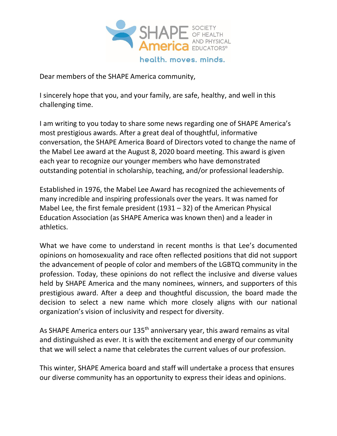

Dear members of the SHAPE America community,

I sincerely hope that you, and your family, are safe, healthy, and well in this challenging time.

I am writing to you today to share some news regarding one of SHAPE America's most prestigious awards. After a great deal of thoughtful, informative conversation, the SHAPE America Board of Directors voted to change the name of the Mabel Lee award at the August 8, 2020 board meeting. This award is given each year to recognize our younger members who have demonstrated outstanding potential in scholarship, teaching, and/or professional leadership.

Established in 1976, the Mabel Lee Award has recognized the achievements of many incredible and inspiring professionals over the years. It was named for Mabel Lee, the first female president (1931 – 32) of the American Physical Education Association (as SHAPE America was known then) and a leader in athletics.

What we have come to understand in recent months is that Lee's documented opinions on homosexuality and race often reflected positions that did not support the advancement of people of color and members of the LGBTQ community in the profession. Today, these opinions do not reflect the inclusive and diverse values held by SHAPE America and the many nominees, winners, and supporters of this prestigious award. After a deep and thoughtful discussion, the board made the decision to select a new name which more closely aligns with our national organization's vision of inclusivity and respect for diversity.

As SHAPE America enters our 135<sup>th</sup> anniversary year, this award remains as vital and distinguished as ever. It is with the excitement and energy of our community that we will select a name that celebrates the current values of our profession.

This winter, SHAPE America board and staff will undertake a process that ensures our diverse community has an opportunity to express their ideas and opinions.